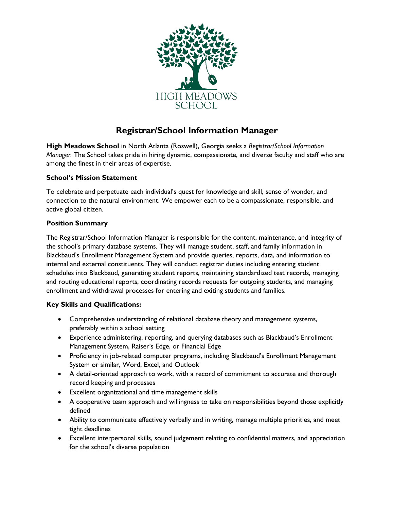

# **Registrar/School Information Manager**

**High Meadows School** in North Atlanta (Roswell), Georgia seeks a *Registrar/School Information Manager.* The School takes pride in hiring dynamic, compassionate, and diverse faculty and staff who are among the finest in their areas of expertise.

## **School's Mission Statement**

To celebrate and perpetuate each individual's quest for knowledge and skill, sense of wonder, and connection to the natural environment. We empower each to be a compassionate, responsible, and active global citizen.

#### **Position Summary**

The Registrar/School Information Manager is responsible for the content, maintenance, and integrity of the school's primary database systems. They will manage student, staff, and family information in Blackbaud's Enrollment Management System and provide queries, reports, data, and information to internal and external constituents. They will conduct registrar duties including entering student schedules into Blackbaud, generating student reports, maintaining standardized test records, managing and routing educational reports, coordinating records requests for outgoing students, and managing enrollment and withdrawal processes for entering and exiting students and families.

## **Key Skills and Qualifications:**

- Comprehensive understanding of relational database theory and management systems, preferably within a school setting
- Experience administering, reporting, and querying databases such as Blackbaud's Enrollment Management System, Raiser's Edge, or Financial Edge
- Proficiency in job-related computer programs, including Blackbaud's Enrollment Management System or similar, Word, Excel, and Outlook
- A detail-oriented approach to work, with a record of commitment to accurate and thorough record keeping and processes
- Excellent organizational and time management skills
- A cooperative team approach and willingness to take on responsibilities beyond those explicitly defined
- Ability to communicate effectively verbally and in writing, manage multiple priorities, and meet tight deadlines
- Excellent interpersonal skills, sound judgement relating to confidential matters, and appreciation for the school's diverse population